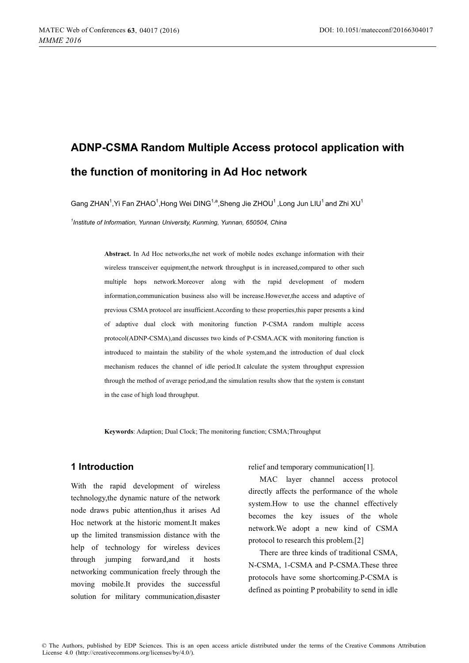# **ADNP-CSMA Random Multiple Access protocol application with the function of monitoring in Ad Hoc network**

Gang ZHAN<sup>1</sup>, Yi Fan ZHAO<sup>1</sup>, Hong Wei DING<sup>1,a</sup>, Sheng Jie ZHOU<sup>1</sup>, Long Jun LIU<sup>1</sup> and Zhi XU<sup>1</sup>

*1 Institute of Information, Yunnan University, Kunming, Yunnan, 650504, China* 

**Abstract.** In Ad Hoc networks,the net work of mobile nodes exchange information with their wireless transceiver equipment,the network throughput is in increased,compared to other such multiple hops network.Moreover along with the rapid development of modern information,communication business also will be increase.However,the access and adaptive of previous CSMA protocol are insufficient.According to these properties,this paper presents a kind of adaptive dual clock with monitoring function P-CSMA random multiple access protocol(ADNP-CSMA),and discusses two kinds of P-CSMA.ACK with monitoring function is introduced to maintain the stability of the whole system,and the introduction of dual clock mechanism reduces the channel of idle period.It calculate the system throughput expression through the method of average period,and the simulation results show that the system is constant in the case of high load throughput.

**Keywords**: Adaption; Dual Clock; The monitoring function; CSMA;Throughput

## **1 Introduction**

With the rapid development of wireless technology,the dynamic nature of the network node draws pubic attention,thus it arises Ad Hoc network at the historic moment.It makes up the limited transmission distance with the help of technology for wireless devices through jumping forward,and it hosts networking communication freely through the moving mobile.It provides the successful solution for military communication,disaster relief and temporary communication[1].

MAC layer channel access protocol directly affects the performance of the whole system.How to use the channel effectively becomes the key issues of the whole network.We adopt a new kind of CSMA protocol to research this problem.[2]

There are three kinds of traditional CSMA, N-CSMA, 1-CSMA and P-CSMA.These three protocols have some shortcoming.P-CSMA is defined as pointing P probability to send in idle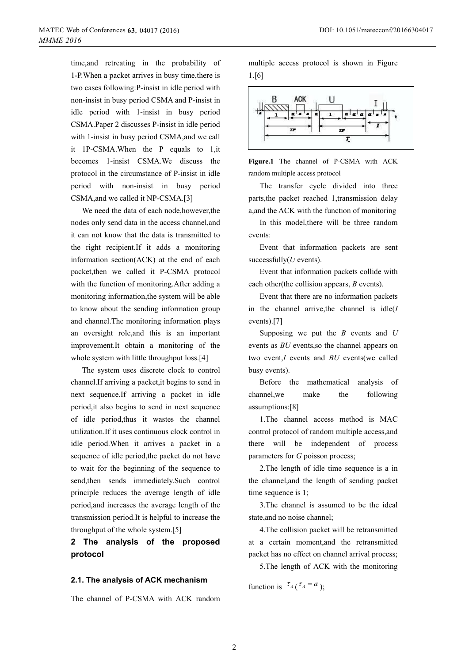time,and retreating in the probability of 1-P.When a packet arrives in busy time,there is two cases following:P-insist in idle period with non-insist in busy period CSMA and P-insist in idle period with 1-insist in busy period CSMA.Paper 2 discusses P-insist in idle period with 1-insist in busy period CSMA,and we call it 1P-CSMA.When the P equals to 1,it becomes 1-insist CSMA.We discuss the protocol in the circumstance of P-insist in idle period with non-insist in busy period CSMA,and we called it NP-CSMA.[3]

We need the data of each node,however,the nodes only send data in the access channel,and it can not know that the data is transmitted to the right recipient.If it adds a monitoring information section(ACK) at the end of each packet,then we called it P-CSMA protocol with the function of monitoring.After adding a monitoring information,the system will be able to know about the sending information group and channel.The monitoring information plays an oversight role,and this is an important improvement.It obtain a monitoring of the whole system with little throughput loss.<sup>[4]</sup>

The system uses discrete clock to control channel.If arriving a packet,it begins to send in next sequence.If arriving a packet in idle period,it also begins to send in next sequence of idle period,thus it wastes the channel utilization.If it uses continuous clock control in idle period.When it arrives a packet in a sequence of idle period,the packet do not have to wait for the beginning of the sequence to send,then sends immediately.Such control principle reduces the average length of idle period,and increases the average length of the transmission period.It is helpful to increase the throughput of the whole system.[5]

# **2 The analysis of the proposed protocol**

#### **2.1. The analysis of ACK mechanism**

The channel of P-CSMA with ACK random

multiple access protocol is shown in Figure 1.[6]



**Figure.1** The channel of P-CSMA with ACK random multiple access protocol

The transfer cycle divided into three parts,the packet reached 1,transmission delay a,and the ACK with the function of monitoring

In this model,there will be three random events:

Event that information packets are sent successfully(*U* events).

Event that information packets collide with each other(the collision appears, *B* events).

Event that there are no information packets in the channel arrive,the channel is idle(*I* events).[7]

Supposing we put the *B* events and *U* events as *BU* events,so the channel appears on two event,*I* events and *BU* events(we called busy events).

Before the mathematical analysis of channel,we make the following assumptions:[8]

1.The channel access method is MAC control protocol of random multiple access,and there will be independent of process parameters for *G* poisson process;

2.The length of idle time sequence is a in the channel,and the length of sending packet time sequence is 1;

3.The channel is assumed to be the ideal state,and no noise channel;

4.The collision packet will be retransmitted at a certain moment,and the retransmitted packet has no effect on channel arrival process;

5.The length of ACK with the monitoring

function is  $\tau_A$  ( $\tau_A = a$ );

DOI: 10.1051/matecconf/20166304017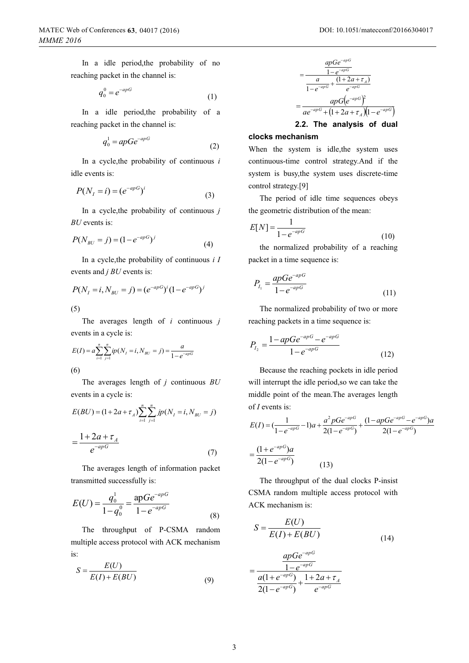In a idle period,the probability of no reaching packet in the channel is:

$$
q_0^0 = e^{-apG}
$$
 (1)

In a idle period,the probability of a reaching packet in the channel is:

$$
q_0^1 = apGe^{-apG}
$$
 (2)

In a cycle,the probability of continuous *i*  idle events is:

$$
P(NI = i) = (e-apG)i
$$
\n(3)

In a cycle,the probability of continuous *j BU* events is:

$$
P(N_{BU} = j) = (1 - e^{-apG})^j
$$
 (4)

In a cycle,the probability of continuous *i I* events and *j BU* events is:

$$
P(NI = i, NBU = j) = (e-apG)i (1 - e-apG)j
$$

(5)

The averages length of *i* continuous *j*  events in a cycle is:

$$
E(I) = a \sum_{i=1}^{n} \sum_{j=1}^{n} ip(N_I = i, N_{BU} = j) = \frac{a}{1 - e^{-apG}}
$$
\n(6)

The averages length of *j* continuous *BU* events in a cycle is:

$$
E(BU) = (1 + 2a + \tau_A) \sum_{i=1}^{n} \sum_{j=1}^{n} j p(N_i = i, N_{BU} = j)
$$

$$
= \frac{1 + 2a + \tau_A}{e^{-apG}}
$$
(7)

The averages length of information packet transmitted successfully is:

$$
E(U) = \frac{q_0^1}{1 - q_0^0} = \frac{\text{ap} Ge^{-apG}}{1 - e^{-apG}}
$$
\n(8)

The throughput of P-CSMA random multiple access protocol with ACK mechanism is:

$$
S = \frac{E(U)}{E(I) + E(BU)}\tag{9}
$$



 **2.2. The analysis of dual clocks mechanism** 

When the system is idle,the system uses continuous-time control strategy.And if the system is busy,the system uses discrete-time control strategy.[9]

The period of idle time sequences obeys the geometric distribution of the mean:

$$
E[N] = \frac{1}{1 - e^{-apG}}\tag{10}
$$

the normalized probability of a reaching packet in a time sequence is:

$$
P_{I_1} = \frac{apGe^{-apG}}{1 - e^{-apG}}
$$
\n(11)

The normalized probability of two or more reaching packets in a time sequence is:

$$
P_{I_2} = \frac{1 - apGe^{-apG} - e^{-apG}}{1 - e^{-apG}}
$$
\n(12)

Because the reaching pockets in idle period will interrupt the idle period,so we can take the middle point of the mean.The averages length of *I* events is:

$$
E(I) = \left(\frac{1}{1 - e^{-apG}} - 1\right)a + \frac{a^2 pGe^{-apG}}{2(1 - e^{-apG})} + \frac{(1 - apGe^{-apG} - e^{-apG})a}{2(1 - e^{-apG})}
$$

$$
= \frac{(1 + e^{-apG})a}{2(1 - e^{-apG})}
$$
(13)

The throughput of the dual clocks P-insist CSMA random multiple access protocol with ACK mechanism is:

$$
S = \frac{E(U)}{E(I) + E(BU)}
$$
(14)  
= 
$$
\frac{apGe^{-apG}}{1 - e^{-apG}}
$$
  
= 
$$
\frac{a(1 + e^{-apG})}{2(1 - e^{-apG})} + \frac{1 + 2a + \tau_A}{e^{-apG}}
$$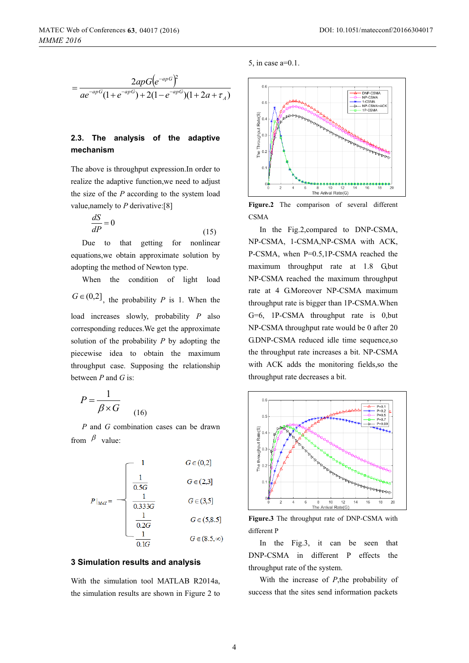$$
=\frac{2apG(e^{-apG})}{ae^{-apG}(1+e^{-apG})+2(1-e^{-apG})(1+2a+\tau_A)}
$$

# **2.3. The analysis of the adaptive mechanism**

The above is throughput expression.In order to realize the adaptive function,we need to adjust the size of the *P* according to the system load value,namely to *P* derivative:[8]

$$
\frac{dS}{dP} = 0\tag{15}
$$

Due to that getting for nonlinear equations,we obtain approximate solution by adopting the method of Newton type.

When the condition of light load  $G \in (0,2]$ , the probability *P* is 1. When the load increases slowly, probability *P* also corresponding reduces.We get the approximate solution of the probability *P* by adopting the piecewise idea to obtain the maximum throughput case. Supposing the relationship between *P* and *G* is:

$$
P = \frac{1}{\beta \times G} \qquad (16)
$$

*P* and *G* combination cases can be drawn from  $\beta$  value:

$$
P|_{MAX} = \begin{bmatrix} 1 & G \in (0,2] \\ \frac{1}{0.5G} & G \in (2,3] \\ \frac{1}{0.333G} & G \in (3,5] \\ \frac{1}{0.2G} & G \in (5,8.5] \\ \frac{1}{0.1G} & G \in (8.5, \infty) \end{bmatrix}
$$

### **3 Simulation results and analysis**

With the simulation tool MATLAB R2014a, the simulation results are shown in Figure 2 to

#### 5, in case a=0.1.



**Figure.2** The comparison of several different CSMA

In the Fig.2,compared to DNP-CSMA, NP-CSMA, 1-CSMA,NP-CSMA with ACK, P-CSMA, when P=0.5,1P-CSMA reached the maximum throughput rate at 1.8 G,but NP-CSMA reached the maximum throughput rate at 4 G.Moreover NP-CSMA maximum throughput rate is bigger than 1P-CSMA.When G=6, 1P-CSMA throughput rate is 0,but NP-CSMA throughput rate would be 0 after 20 G.DNP-CSMA reduced idle time sequence,so the throughput rate increases a bit. NP-CSMA with ACK adds the monitoring fields,so the throughput rate decreases a bit.



**Figure.3** The throughput rate of DNP-CSMA with different P

In the Fig.3, it can be seen that DNP-CSMA in different P effects the throughput rate of the system.

With the increase of *P*,the probability of success that the sites send information packets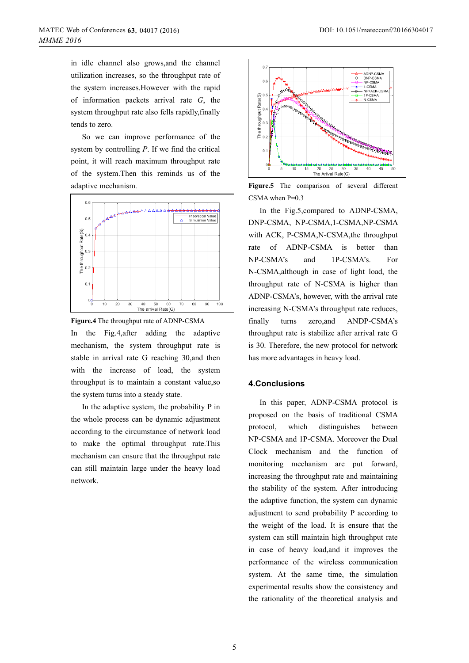in idle channel also grows,and the channel utilization increases, so the throughput rate of the system increases.However with the rapid of information packets arrival rate *G*, the system throughput rate also fells rapidly,finally tends to zero.

So we can improve performance of the system by controlling *P*. If we find the critical point, it will reach maximum throughput rate of the system.Then this reminds us of the adaptive mechanism.



**Figure.4** The throughput rate of ADNP-CSMA In the Fig.4,after adding the adaptive mechanism, the system throughput rate is stable in arrival rate G reaching 30,and then with the increase of load, the system throughput is to maintain a constant value,so the system turns into a steady state.

In the adaptive system, the probability P in the whole process can be dynamic adjustment according to the circumstance of network load to make the optimal throughput rate.This mechanism can ensure that the throughput rate can still maintain large under the heavy load network.



**Figure.5** The comparison of several different CSMA when P=0.3

In the Fig.5,compared to ADNP-CSMA, DNP-CSMA, NP-CSMA,1-CSMA,NP-CSMA with ACK, P-CSMA,N-CSMA,the throughput rate of ADNP-CSMA is better than NP-CSMA's and 1P-CSMA's. For N-CSMA,although in case of light load, the throughput rate of N-CSMA is higher than ADNP-CSMA's, however, with the arrival rate increasing N-CSMA's throughput rate reduces, finally turns zero,and ANDP-CSMA's throughput rate is stabilize after arrival rate G is 30. Therefore, the new protocol for network has more advantages in heavy load.

## **4.Conclusions**

In this paper, ADNP-CSMA protocol is proposed on the basis of traditional CSMA protocol, which distinguishes between NP-CSMA and 1P-CSMA. Moreover the Dual Clock mechanism and the function of monitoring mechanism are put forward, increasing the throughput rate and maintaining the stability of the system. After introducing the adaptive function, the system can dynamic adjustment to send probability P according to the weight of the load. It is ensure that the system can still maintain high throughput rate in case of heavy load,and it improves the performance of the wireless communication system. At the same time, the simulation experimental results show the consistency and the rationality of the theoretical analysis and